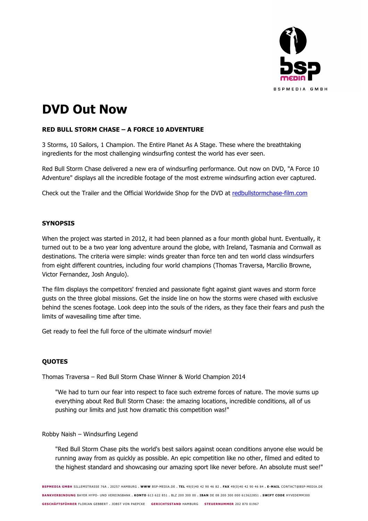

# **DVD Out Now**

## **RED BULL STORM CHASE – A FORCE 10 ADVENTURE**

3 Storms, 10 Sailors, 1 Champion. The Entire Planet As A Stage. These where the breathtaking ingredients for the most challenging windsurfing contest the world has ever seen.

Red Bull Storm Chase delivered a new era of windsurfing performance. Out now on DVD, "A Force 10 Adventure" displays all the incredible footage of the most extreme windsurfing action ever captured.

Check out the Trailer and the Official Worldwide Shop for the DVD at redbullstormchase-film.com

#### **SYNOPSIS**

When the project was started in 2012, it had been planned as a four month global hunt. Eventually, it turned out to be a two year long adventure around the globe, with Ireland, Tasmania and Cornwall as destinations. The criteria were simple: winds greater than force ten and ten world class windsurfers from eight different countries, including four world champions (Thomas Traversa, Marcilio Browne, Victor Fernandez, Josh Angulo).

The film displays the competitors' frenzied and passionate fight against giant waves and storm force gusts on the three global missions. Get the inside line on how the storms were chased with exclusive behind the scenes footage. Look deep into the souls of the riders, as they face their fears and push the limits of wavesailing time after time.

Get ready to feel the full force of the ultimate windsurf movie!

### **QUOTES**

Thomas Traversa – Red Bull Storm Chase Winner & World Champion 2014

"We had to turn our fear into respect to face such extreme forces of nature. The movie sums up everything about Red Bull Storm Chase: the amazing locations, incredible conditions, all of us pushing our limits and just how dramatic this competition was!"

#### Robby Naish – Windsurfing Legend

"Red Bull Storm Chase pits the world's best sailors against ocean conditions anyone else would be running away from as quickly as possible. An epic competition like no other, filmed and edited to the highest standard and showcasing our amazing sport like never before. An absolute must see!"